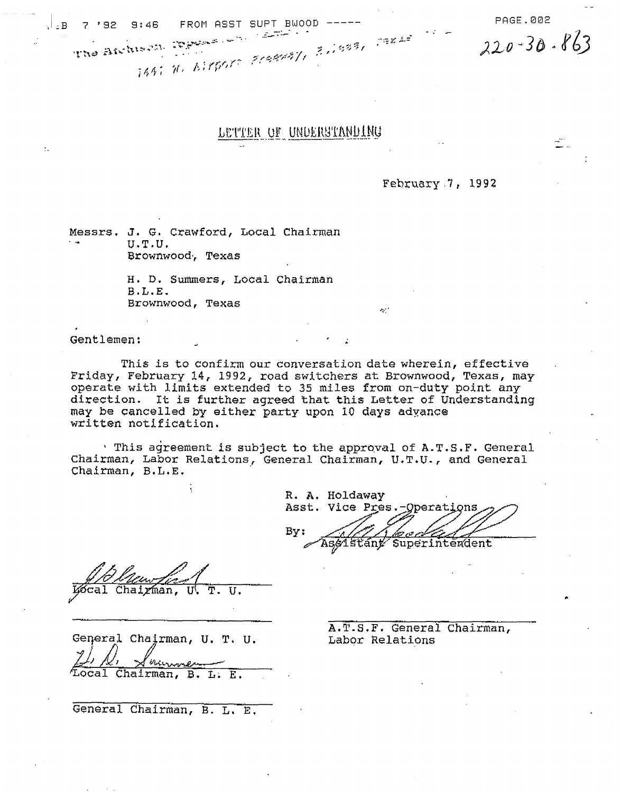$\frac{1}{18}$  7'92 9:46 FROM ASST SUPT BWOOD -----<br>The Aftisting Permit in the state of the Section 200-30-863

## LETTER OF UNDERSTANDING

**: "-;"'If •** t-~"': **::"A::!. . 'W-** "

February.7, 1992

Messrs. J. G. Crawford, Local Chairman U.T.U. Brownwood·, Texas

> H. D. Summers, Local Chairman B.L.E. Brownwood, Texas -',''' -',''

Gentlemen:

This is to confirm our conversation date wherein, effective Friday, February 14, 1992, road switchers at Brownwood, Texas, may operate with limits extended to 35 miles from on-duty point any direction. It is further agreed that this Letter of Understanding may be cancelled by either party upon 10 days adyance written notification.

 $\cdot$  This agreement is subject to the approval of A.T.S.F. General Chairman, Labor Relations, General Chairman, U.T.U., and General Chairman, B.L.E. .

R. A. Holdaway Asst. Vice Pres.-Operations By: Assistant Superintendent

Chairman, T. U.

Geqeral Chairman, U. T. U.

 $\frac{f^{1/2} / \mathcal{L}'}{L \text{ocal Chairman, B. L. E.}}$ 

General Chairman, B. L. E.

A.T.B.F. General Chairman, Labor Relations